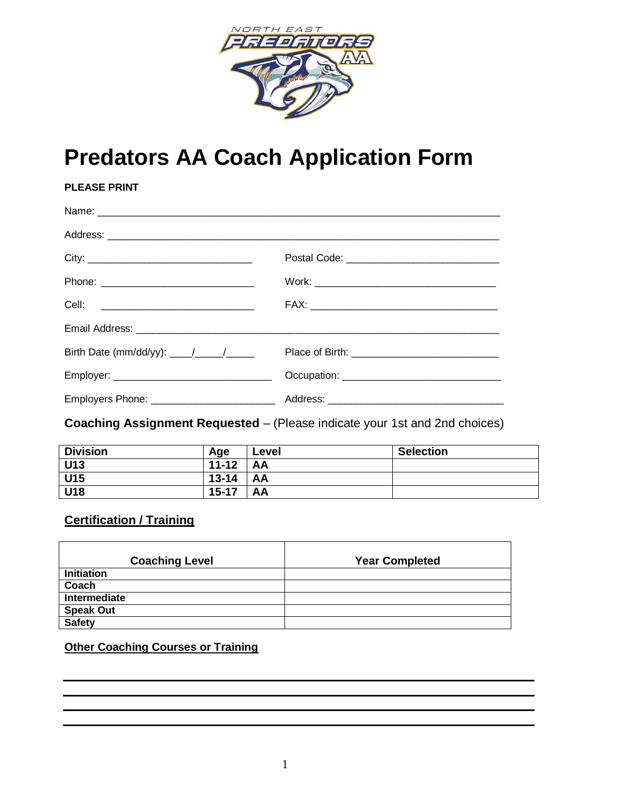

# **Predators AA Coach Application Form**

| <b>PLEASE PRINT</b>                         |  |
|---------------------------------------------|--|
|                                             |  |
|                                             |  |
| City:                                       |  |
|                                             |  |
|                                             |  |
|                                             |  |
| Birth Date (mm/dd/yy): $\frac{1}{\sqrt{2}}$ |  |
|                                             |  |
|                                             |  |

## **Coaching Assignment Requested** – (Please indicate your 1st and 2nd choices)

| <b>Division</b> | Age       | Level | <b>Selection</b> |
|-----------------|-----------|-------|------------------|
| U13             | $11 - 12$ | AA    |                  |
| U15             | $13 - 14$ | AA    |                  |
| U18             | $15 - 17$ | AA    |                  |

# **Certification / Training**

| <b>Coaching Level</b> | <b>Year Completed</b> |
|-----------------------|-----------------------|
| <b>Initiation</b>     |                       |
| Coach                 |                       |
| Intermediate          |                       |
| <b>Speak Out</b>      |                       |
| <b>Safety</b>         |                       |

#### **Other Coaching Courses or Training**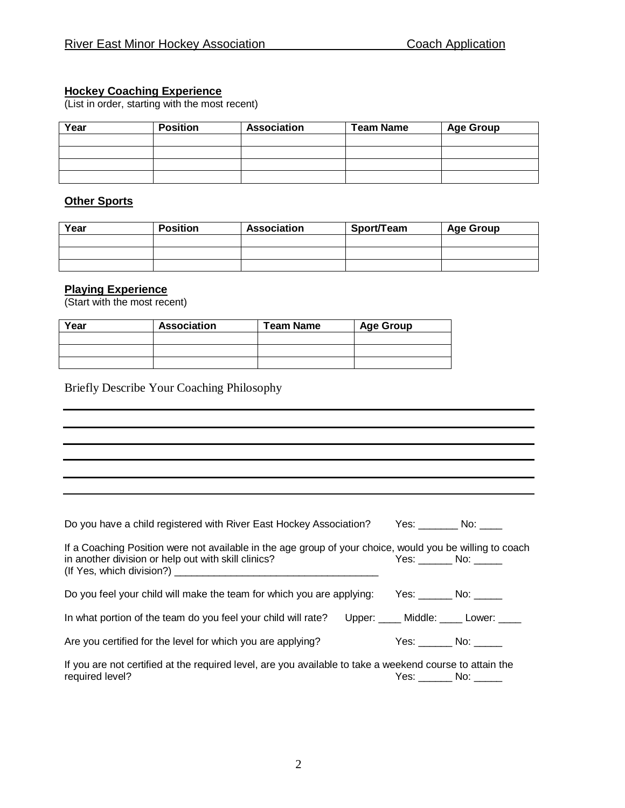#### **Hockey Coaching Experience**

(List in order, starting with the most recent)

| Year | <b>Position</b> | <b>Association</b> | <b>Team Name</b> | <b>Age Group</b> |
|------|-----------------|--------------------|------------------|------------------|
|      |                 |                    |                  |                  |
|      |                 |                    |                  |                  |
|      |                 |                    |                  |                  |
|      |                 |                    |                  |                  |

#### **Other Sports**

| Year | <b>Position</b> | <b>Association</b> | Sport/Team | <b>Age Group</b> |
|------|-----------------|--------------------|------------|------------------|
|      |                 |                    |            |                  |
|      |                 |                    |            |                  |
|      |                 |                    |            |                  |

#### **Playing Experience**

(Start with the most recent)

| Year | <b>Association</b> | <b>Team Name</b> | <b>Age Group</b> |
|------|--------------------|------------------|------------------|
|      |                    |                  |                  |
|      |                    |                  |                  |
|      |                    |                  |                  |

Briefly Describe Your Coaching Philosophy

| Do you have a child registered with River East Hockey Association?                                                                                              |                   |                                                    |
|-----------------------------------------------------------------------------------------------------------------------------------------------------------------|-------------------|----------------------------------------------------|
| If a Coaching Position were not available in the age group of your choice, would you be willing to coach<br>in another division or help out with skill clinics? |                   |                                                    |
| Do you feel your child will make the team for which you are applying: Yes: No: No:                                                                              |                   |                                                    |
| In what portion of the team do you feel your child will rate?                                                                                                   |                   | Upper: Middle: Lower: Upper: Upper: Western Lower: |
| Are you certified for the level for which you are applying?                                                                                                     |                   |                                                    |
| If you are not certified at the required level, are you available to take a weekend course to attain the<br>required level?                                     | $Yes.$ No: $\_\_$ |                                                    |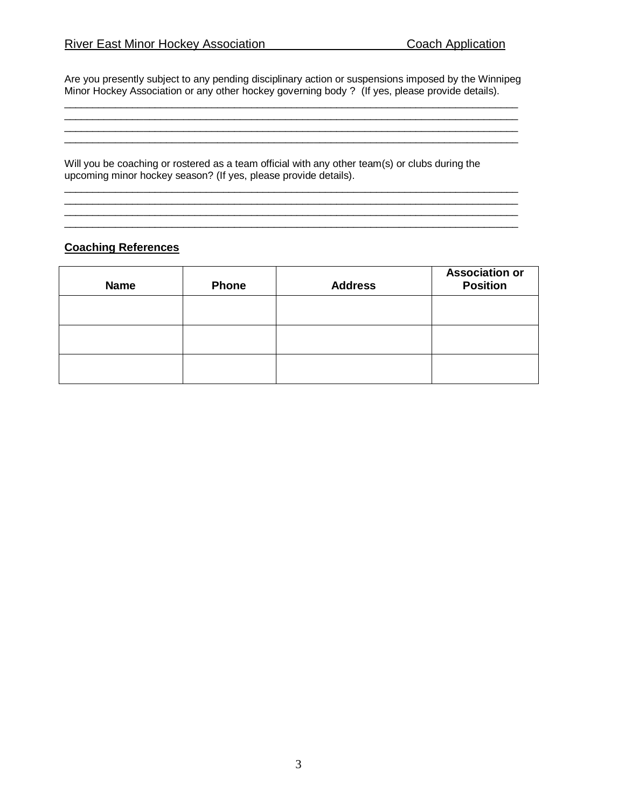Are you presently subject to any pending disciplinary action or suspensions imposed by the Winnipeg Minor Hockey Association or any other hockey governing body ? (If yes, please provide details).

 $\_$  ,  $\_$  ,  $\_$  ,  $\_$  ,  $\_$  ,  $\_$  ,  $\_$  ,  $\_$  ,  $\_$  ,  $\_$  ,  $\_$  ,  $\_$  ,  $\_$  ,  $\_$  ,  $\_$  ,  $\_$  ,  $\_$  ,  $\_$  ,  $\_$  ,  $\_$  ,  $\_$  ,  $\_$  ,  $\_$  ,  $\_$  ,  $\_$  ,  $\_$  ,  $\_$  ,  $\_$  ,  $\_$  ,  $\_$  ,  $\_$  ,  $\_$  ,  $\_$  ,  $\_$  ,  $\_$  ,  $\_$  ,  $\_$  ,  $\mathcal{L}_\mathcal{L} = \{ \mathcal{L}_\mathcal{L} = \{ \mathcal{L}_\mathcal{L} = \{ \mathcal{L}_\mathcal{L} = \{ \mathcal{L}_\mathcal{L} = \{ \mathcal{L}_\mathcal{L} = \{ \mathcal{L}_\mathcal{L} = \{ \mathcal{L}_\mathcal{L} = \{ \mathcal{L}_\mathcal{L} = \{ \mathcal{L}_\mathcal{L} = \{ \mathcal{L}_\mathcal{L} = \{ \mathcal{L}_\mathcal{L} = \{ \mathcal{L}_\mathcal{L} = \{ \mathcal{L}_\mathcal{L} = \{ \mathcal{L}_\mathcal{$ \_\_\_\_\_\_\_\_\_\_\_\_\_\_\_\_\_\_\_\_\_\_\_\_\_\_\_\_\_\_\_\_\_\_\_\_\_\_\_\_\_\_\_\_\_\_\_\_\_\_\_\_\_\_\_\_\_\_\_\_\_\_\_\_\_\_\_\_\_\_\_\_\_\_\_\_\_\_\_\_

Will you be coaching or rostered as a team official with any other team(s) or clubs during the upcoming minor hockey season? (If yes, please provide details).

\_\_\_\_\_\_\_\_\_\_\_\_\_\_\_\_\_\_\_\_\_\_\_\_\_\_\_\_\_\_\_\_\_\_\_\_\_\_\_\_\_\_\_\_\_\_\_\_\_\_\_\_\_\_\_\_\_\_\_\_\_\_\_\_\_\_\_\_\_\_\_\_\_\_\_\_\_\_\_\_ \_\_\_\_\_\_\_\_\_\_\_\_\_\_\_\_\_\_\_\_\_\_\_\_\_\_\_\_\_\_\_\_\_\_\_\_\_\_\_\_\_\_\_\_\_\_\_\_\_\_\_\_\_\_\_\_\_\_\_\_\_\_\_\_\_\_\_\_\_\_\_\_\_\_\_\_\_\_\_\_ \_\_\_\_\_\_\_\_\_\_\_\_\_\_\_\_\_\_\_\_\_\_\_\_\_\_\_\_\_\_\_\_\_\_\_\_\_\_\_\_\_\_\_\_\_\_\_\_\_\_\_\_\_\_\_\_\_\_\_\_\_\_\_\_\_\_\_\_\_\_\_\_\_\_\_\_\_\_\_\_

#### **Coaching References**

| <b>Name</b> | <b>Phone</b> | <b>Address</b> | <b>Association or</b><br><b>Position</b> |
|-------------|--------------|----------------|------------------------------------------|
|             |              |                |                                          |
|             |              |                |                                          |
|             |              |                |                                          |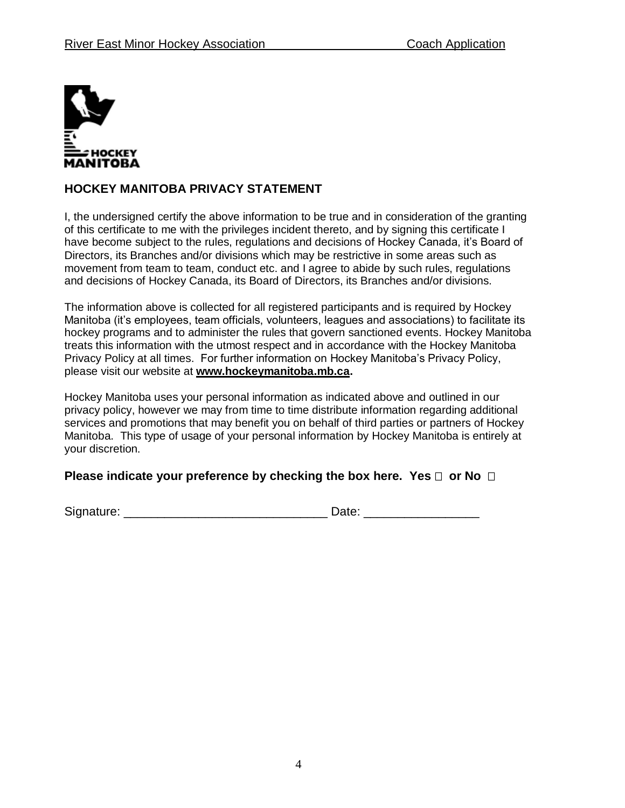

## **HOCKEY MANITOBA PRIVACY STATEMENT**

I, the undersigned certify the above information to be true and in consideration of the granting of this certificate to me with the privileges incident thereto, and by signing this certificate I have become subject to the rules, regulations and decisions of Hockey Canada, it's Board of Directors, its Branches and/or divisions which may be restrictive in some areas such as movement from team to team, conduct etc. and I agree to abide by such rules, regulations and decisions of Hockey Canada, its Board of Directors, its Branches and/or divisions.

The information above is collected for all registered participants and is required by Hockey Manitoba (it's employees, team officials, volunteers, leagues and associations) to facilitate its hockey programs and to administer the rules that govern sanctioned events. Hockey Manitoba treats this information with the utmost respect and in accordance with the Hockey Manitoba Privacy Policy at all times. For further information on Hockey Manitoba's Privacy Policy, please visit our website at **[www.hockeymanitoba.mb.ca.](http://www.hockeymanitoba.mb.ca/)**

Hockey Manitoba uses your personal information as indicated above and outlined in our privacy policy, however we may from time to time distribute information regarding additional services and promotions that may benefit you on behalf of third parties or partners of Hockey Manitoba. This type of usage of your personal information by Hockey Manitoba is entirely at your discretion.

#### **Please indicate your preference by checking the box here. Yes**  $\Box$  **or No**  $\Box$

Signature: \_\_\_\_\_\_\_\_\_\_\_\_\_\_\_\_\_\_\_\_\_\_\_\_\_\_\_\_\_\_ Date: \_\_\_\_\_\_\_\_\_\_\_\_\_\_\_\_\_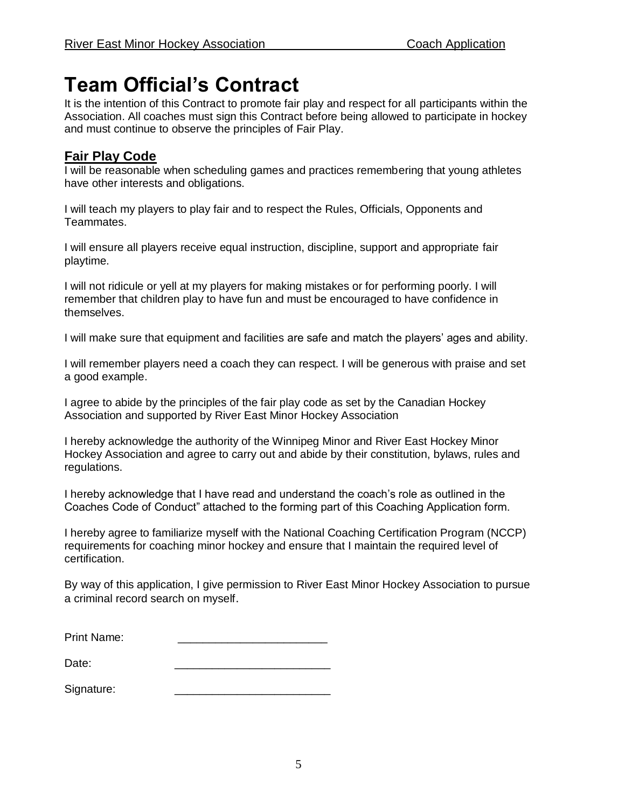# **Team Official's Contract**

It is the intention of this Contract to promote fair play and respect for all participants within the Association. All coaches must sign this Contract before being allowed to participate in hockey and must continue to observe the principles of Fair Play.

# **Fair Play Code**

I will be reasonable when scheduling games and practices remembering that young athletes have other interests and obligations.

I will teach my players to play fair and to respect the Rules, Officials, Opponents and Teammates.

I will ensure all players receive equal instruction, discipline, support and appropriate fair playtime.

I will not ridicule or yell at my players for making mistakes or for performing poorly. I will remember that children play to have fun and must be encouraged to have confidence in themselves.

I will make sure that equipment and facilities are safe and match the players' ages and ability.

I will remember players need a coach they can respect. I will be generous with praise and set a good example.

I agree to abide by the principles of the fair play code as set by the Canadian Hockey Association and supported by River East Minor Hockey Association

I hereby acknowledge the authority of the Winnipeg Minor and River East Hockey Minor Hockey Association and agree to carry out and abide by their constitution, bylaws, rules and regulations.

I hereby acknowledge that I have read and understand the coach's role as outlined in the Coaches Code of Conduct" attached to the forming part of this Coaching Application form.

I hereby agree to familiarize myself with the National Coaching Certification Program (NCCP) requirements for coaching minor hockey and ensure that I maintain the required level of certification.

By way of this application, I give permission to River East Minor Hockey Association to pursue a criminal record search on myself.

| Signature: |  |
|------------|--|
|------------|--|